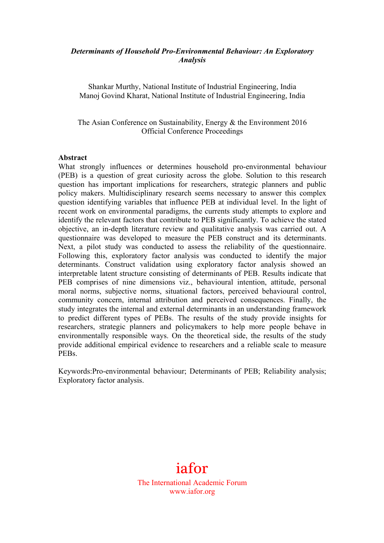## *Determinants of Household Pro-Environmental Behaviour: An Exploratory Analysis*

Shankar Murthy, National Institute of Industrial Engineering, India Manoj Govind Kharat, National Institute of Industrial Engineering, India

The Asian Conference on Sustainability, Energy & the Environment 2016 Official Conference Proceedings

#### **Abstract**

What strongly influences or determines household pro-environmental behaviour (PEB) is a question of great curiosity across the globe. Solution to this research question has important implications for researchers, strategic planners and public policy makers. Multidisciplinary research seems necessary to answer this complex question identifying variables that influence PEB at individual level. In the light of recent work on environmental paradigms, the currents study attempts to explore and identify the relevant factors that contribute to PEB significantly. To achieve the stated objective, an in-depth literature review and qualitative analysis was carried out. A questionnaire was developed to measure the PEB construct and its determinants. Next, a pilot study was conducted to assess the reliability of the questionnaire. Following this, exploratory factor analysis was conducted to identify the major determinants. Construct validation using exploratory factor analysis showed an interpretable latent structure consisting of determinants of PEB. Results indicate that PEB comprises of nine dimensions viz., behavioural intention, attitude, personal moral norms, subjective norms, situational factors, perceived behavioural control, community concern, internal attribution and perceived consequences. Finally, the study integrates the internal and external determinants in an understanding framework to predict different types of PEBs. The results of the study provide insights for researchers, strategic planners and policymakers to help more people behave in environmentally responsible ways. On the theoretical side, the results of the study provide additional empirical evidence to researchers and a reliable scale to measure PEBs.

Keywords:Pro-environmental behaviour; Determinants of PEB; Reliability analysis; Exploratory factor analysis.

# iafor

The International Academic Forum www.iafor.org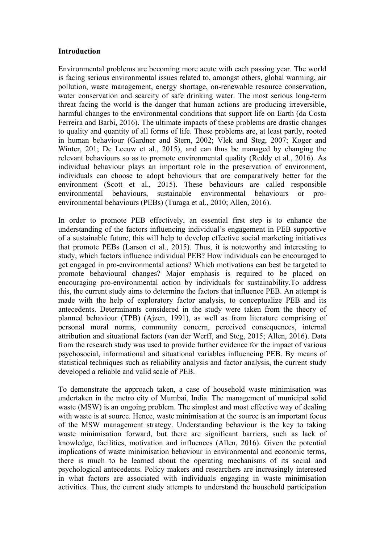#### **Introduction**

Environmental problems are becoming more acute with each passing year. The world is facing serious environmental issues related to, amongst others, global warming, air pollution, waste management, energy shortage, on-renewable resource conservation, water conservation and scarcity of safe drinking water. The most serious long-term threat facing the world is the danger that human actions are producing irreversible, harmful changes to the environmental conditions that support life on Earth (da Costa Ferreira and Barbi, 2016). The ultimate impacts of these problems are drastic changes to quality and quantity of all forms of life. These problems are, at least partly, rooted in human behaviour (Gardner and Stern, 2002; Vlek and Steg, 2007; Koger and Winter, 201; De Leeuw et al., 2015), and can thus be managed by changing the relevant behaviours so as to promote environmental quality (Reddy et al., 2016). As individual behaviour plays an important role in the preservation of environment, individuals can choose to adopt behaviours that are comparatively better for the environment (Scott et al., 2015). These behaviours are called responsible environmental behaviours, sustainable environmental behaviours or proenvironmental behaviours (PEBs) (Turaga et al., 2010; Allen, 2016).

In order to promote PEB effectively, an essential first step is to enhance the understanding of the factors influencing individual's engagement in PEB supportive of a sustainable future, this will help to develop effective social marketing initiatives that promote PEBs (Larson et al., 2015). Thus, it is noteworthy and interesting to study, which factors influence individual PEB? How individuals can be encouraged to get engaged in pro-environmental actions? Which motivations can best be targeted to promote behavioural changes? Major emphasis is required to be placed on encouraging pro-environmental action by individuals for sustainability.To address this, the current study aims to determine the factors that influence PEB. An attempt is made with the help of exploratory factor analysis, to conceptualize PEB and its antecedents. Determinants considered in the study were taken from the theory of planned behaviour (TPB) (Ajzen, 1991), as well as from literature comprising of personal moral norms, community concern, perceived consequences, internal attribution and situational factors (van der Werff, and Steg, 2015; Allen, 2016). Data from the research study was used to provide further evidence for the impact of various psychosocial, informational and situational variables influencing PEB. By means of statistical techniques such as reliability analysis and factor analysis, the current study developed a reliable and valid scale of PEB.

To demonstrate the approach taken, a case of household waste minimisation was undertaken in the metro city of Mumbai, India. The management of municipal solid waste (MSW) is an ongoing problem. The simplest and most effective way of dealing with waste is at source. Hence, waste minimisation at the source is an important focus of the MSW management strategy. Understanding behaviour is the key to taking waste minimisation forward, but there are significant barriers, such as lack of knowledge, facilities, motivation and influences (Allen, 2016). Given the potential implications of waste minimisation behaviour in environmental and economic terms, there is much to be learned about the operating mechanisms of its social and psychological antecedents. Policy makers and researchers are increasingly interested in what factors are associated with individuals engaging in waste minimisation activities. Thus, the current study attempts to understand the household participation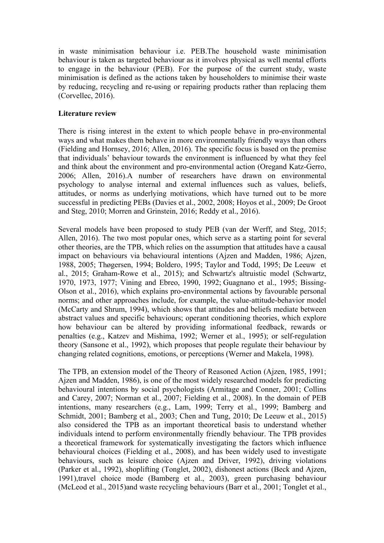in waste minimisation behaviour i.e. PEB.The household waste minimisation behaviour is taken as targeted behaviour as it involves physical as well mental efforts to engage in the behaviour (PEB). For the purpose of the current study, waste minimisation is defined as the actions taken by householders to minimise their waste by reducing, recycling and re-using or repairing products rather than replacing them (Corvellec, 2016).

## **Literature review**

There is rising interest in the extent to which people behave in pro-environmental ways and what makes them behave in more environmentally friendly ways than others (Fielding and Hornsey, 2016; Allen, 2016). The specific focus is based on the premise that individuals' behaviour towards the environment is influenced by what they feel and think about the environment and pro-environmental action (Oregand Katz-Gerro, 2006; Allen, 2016).A number of researchers have drawn on environmental psychology to analyse internal and external influences such as values, beliefs, attitudes, or norms as underlying motivations, which have turned out to be more successful in predicting PEBs (Davies et al., 2002, 2008; Hoyos et al., 2009; De Groot and Steg, 2010; Morren and Grinstein, 2016; Reddy et al., 2016).

Several models have been proposed to study PEB (van der Werff, and Steg, 2015; Allen, 2016). The two most popular ones, which serve as a starting point for several other theories, are the TPB, which relies on the assumption that attitudes have a causal impact on behaviours via behavioural intentions (Ajzen and Madden, 1986; Ajzen, 1988, 2005; Thøgersen, 1994; Boldero, 1995; Taylor and Todd, 1995; De Leeuw et al., 2015; Graham-Rowe et al., 2015); and Schwartz's altruistic model (Schwartz, 1970, 1973, 1977; Vining and Ebreo, 1990, 1992; Guagnano et al., 1995; Bissing-Olson et al., 2016), which explains pro-environmental actions by favourable personal norms; and other approaches include, for example, the value-attitude-behavior model (McCarty and Shrum, 1994), which shows that attitudes and beliefs mediate between abstract values and specific behaviours; operant conditioning theories, which explore how behaviour can be altered by providing informational feedback, rewards or penalties (e.g., Katzev and Mishima, 1992; Werner et al., 1995); or self-regulation theory (Sansone et al., 1992), which proposes that people regulate their behaviour by changing related cognitions, emotions, or perceptions (Werner and Makela, 1998).

The TPB, an extension model of the Theory of Reasoned Action (Ajzen, 1985, 1991; Ajzen and Madden, 1986), is one of the most widely researched models for predicting behavioural intentions by social psychologists (Armitage and Conner, 2001; Collins and Carey, 2007; Norman et al., 2007; Fielding et al., 2008). In the domain of PEB intentions, many researchers (e.g., Lam, 1999; Terry et al., 1999; Bamberg and Schmidt, 2001; Bamberg et al., 2003; Chen and Tung, 2010; De Leeuw et al., 2015) also considered the TPB as an important theoretical basis to understand whether individuals intend to perform environmentally friendly behaviour. The TPB provides a theoretical framework for systematically investigating the factors which influence behavioural choices (Fielding et al., 2008), and has been widely used to investigate behaviours, such as leisure choice (Ajzen and Driver, 1992), driving violations (Parker et al., 1992), shoplifting (Tonglet, 2002), dishonest actions (Beck and Ajzen, 1991),travel choice mode (Bamberg et al., 2003), green purchasing behaviour (McLeod et al., 2015)and waste recycling behaviours (Barr et al., 2001; Tonglet et al.,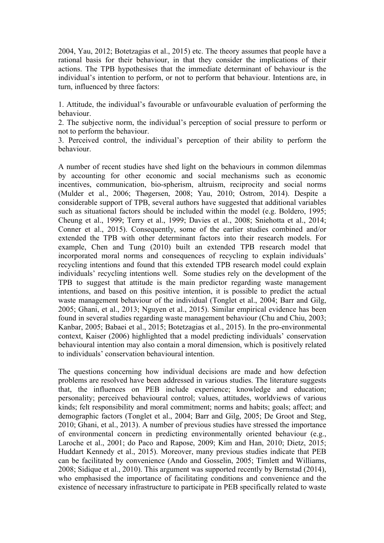2004, Yau, 2012; Botetzagias et al., 2015) etc. The theory assumes that people have a rational basis for their behaviour, in that they consider the implications of their actions. The TPB hypothesises that the immediate determinant of behaviour is the individual's intention to perform, or not to perform that behaviour. Intentions are, in turn, influenced by three factors:

1. Attitude, the individual's favourable or unfavourable evaluation of performing the behaviour.

2. The subjective norm, the individual's perception of social pressure to perform or not to perform the behaviour.

3. Perceived control, the individual's perception of their ability to perform the behaviour.

A number of recent studies have shed light on the behaviours in common dilemmas by accounting for other economic and social mechanisms such as economic incentives, communication, bio-spherism, altruism, reciprocity and social norms (Mulder et al., 2006; Thøgersen, 2008; Yau, 2010; Ostrom, 2014). Despite a considerable support of TPB, several authors have suggested that additional variables such as situational factors should be included within the model (e.g. Boldero, 1995; Cheung et al., 1999; Terry et al., 1999; Davies et al., 2008; Sniehotta et al., 2014; Conner et al., 2015). Consequently, some of the earlier studies combined and/or extended the TPB with other determinant factors into their research models. For example, Chen and Tung (2010) built an extended TPB research model that incorporated moral norms and consequences of recycling to explain individuals' recycling intentions and found that this extended TPB research model could explain individuals' recycling intentions well. Some studies rely on the development of the TPB to suggest that attitude is the main predictor regarding waste management intentions, and based on this positive intention, it is possible to predict the actual waste management behaviour of the individual (Tonglet et al., 2004; Barr and Gilg, 2005; Ghani, et al., 2013; Nguyen et al., 2015). Similar empirical evidence has been found in several studies regarding waste management behaviour (Chu and Chiu, 2003; Kanbar, 2005; Babaei et al., 2015; Botetzagias et al., 2015). In the pro-environmental context, Kaiser (2006) highlighted that a model predicting individuals' conservation behavioural intention may also contain a moral dimension, which is positively related to individuals' conservation behavioural intention.

The questions concerning how individual decisions are made and how defection problems are resolved have been addressed in various studies. The literature suggests that, the influences on PEB include experience; knowledge and education; personality; perceived behavioural control; values, attitudes, worldviews of various kinds; felt responsibility and moral commitment; norms and habits; goals; affect; and demographic factors (Tonglet et al., 2004; Barr and Gilg, 2005; De Groot and Steg, 2010; Ghani, et al., 2013). A number of previous studies have stressed the importance of environmental concern in predicting environmentally oriented behaviour (e.g., Laroche et al., 2001; do Paco and Rapose, 2009; Kim and Han, 2010; Dietz, 2015; Huddart Kennedy et al., 2015). Moreover, many previous studies indicate that PEB can be facilitated by convenience (Ando and Gosselin, 2005; Timlett and Williams, 2008; Sidique et al., 2010). This argument was supported recently by Bernstad (2014), who emphasised the importance of facilitating conditions and convenience and the existence of necessary infrastructure to participate in PEB specifically related to waste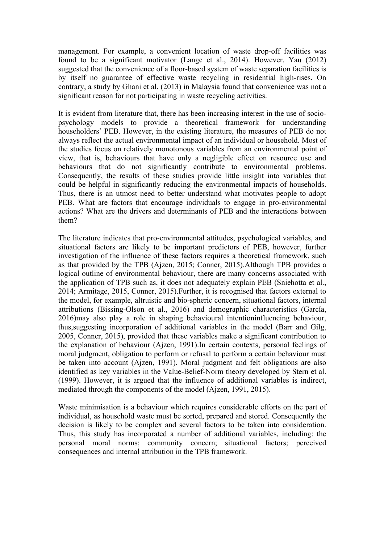management. For example, a convenient location of waste drop-off facilities was found to be a significant motivator (Lange et al., 2014). However, Yau (2012) suggested that the convenience of a floor-based system of waste separation facilities is by itself no guarantee of effective waste recycling in residential high-rises. On contrary, a study by Ghani et al. (2013) in Malaysia found that convenience was not a significant reason for not participating in waste recycling activities.

It is evident from literature that, there has been increasing interest in the use of sociopsychology models to provide a theoretical framework for understanding householders' PEB. However, in the existing literature, the measures of PEB do not always reflect the actual environmental impact of an individual or household. Most of the studies focus on relatively monotonous variables from an environmental point of view, that is, behaviours that have only a negligible effect on resource use and behaviours that do not significantly contribute to environmental problems. Consequently, the results of these studies provide little insight into variables that could be helpful in significantly reducing the environmental impacts of households. Thus, there is an utmost need to better understand what motivates people to adopt PEB. What are factors that encourage individuals to engage in pro-environmental actions? What are the drivers and determinants of PEB and the interactions between them?

The literature indicates that pro-environmental attitudes, psychological variables, and situational factors are likely to be important predictors of PEB, however, further investigation of the influence of these factors requires a theoretical framework, such as that provided by the TPB (Ajzen, 2015; Conner, 2015).Although TPB provides a logical outline of environmental behaviour, there are many concerns associated with the application of TPB such as, it does not adequately explain PEB (Sniehotta et al., 2014; Armitage, 2015, Conner, 2015).Further, it is recognised that factors external to the model, for example, altruistic and bio-spheric concern, situational factors, internal attributions (Bissing-Olson et al., 2016) and demographic characteristics (García, 2016)may also play a role in shaping behavioural intentioninfluencing behaviour, thus,suggesting incorporation of additional variables in the model (Barr and Gilg, 2005, Conner, 2015), provided that these variables make a significant contribution to the explanation of behaviour (Ajzen, 1991).In certain contexts, personal feelings of moral judgment, obligation to perform or refusal to perform a certain behaviour must be taken into account (Ajzen, 1991). Moral judgment and felt obligations are also identified as key variables in the Value-Belief-Norm theory developed by Stern et al. (1999). However, it is argued that the influence of additional variables is indirect, mediated through the components of the model (Ajzen, 1991, 2015).

Waste minimisation is a behaviour which requires considerable efforts on the part of individual, as household waste must be sorted, prepared and stored. Consequently the decision is likely to be complex and several factors to be taken into consideration. Thus, this study has incorporated a number of additional variables, including: the personal moral norms; community concern; situational factors; perceived consequences and internal attribution in the TPB framework.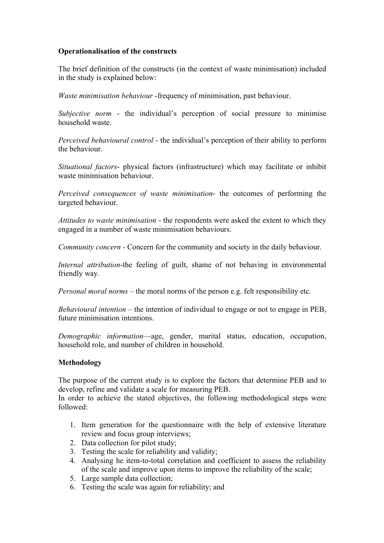## **Operationalisation of the constructs**

The brief definition of the constructs (in the context of waste minimisation) included in the study is explained below:

*Waste minimisation behaviour* -frequency of minimisation, past behaviour.

*Subjective norm* - the individual's perception of social pressure to minimise household waste.

*Perceived behavioural control* - the individual's perception of their ability to perform the behaviour.

*Situational factors*- physical factors (infrastructure) which may facilitate or inhibit waste minimisation behaviour.

*Perceived consequences of waste minimisation*- the outcomes of performing the targeted behaviour.

*Attitudes to waste minimisation* - the respondents were asked the extent to which they engaged in a number of waste minimisation behaviours.

*Community concern -* Concern for the community and society in the daily behaviour.

*Internal attribution*-the feeling of guilt, shame of not behaving in environmental friendly way.

*Personal moral norms* – the moral norms of the person e.g. felt responsibility etc.

*Behavioural intention –* the intention of individual to engage or not to engage in PEB, future minimisation intentions.

*Demographic information*—age, gender, marital status, education, occupation, household role, and number of children in household.

#### **Methodology**

The purpose of the current study is to explore the factors that determine PEB and to develop, refine and validate a scale for measuring PEB.

In order to achieve the stated objectives, the following methodological steps were followed:

- 1. Item generation for the questionnaire with the help of extensive literature review and focus group interviews;
- 2. Data collection for pilot study;
- 3. Testing the scale for reliability and validity;
- 4. Analysing he item-to-total correlation and coefficient to assess the reliability of the scale and improve upon items to improve the reliability of the scale;
- 5. Large sample data collection;
- 6. Testing the scale was again for reliability; and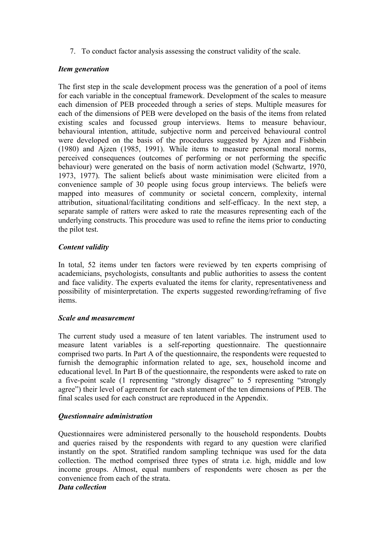7. To conduct factor analysis assessing the construct validity of the scale.

# *Item generation*

The first step in the scale development process was the generation of a pool of items for each variable in the conceptual framework. Development of the scales to measure each dimension of PEB proceeded through a series of steps. Multiple measures for each of the dimensions of PEB were developed on the basis of the items from related existing scales and focussed group interviews. Items to measure behaviour, behavioural intention, attitude, subjective norm and perceived behavioural control were developed on the basis of the procedures suggested by Ajzen and Fishbein (1980) and Ajzen (1985, 1991). While items to measure personal moral norms, perceived consequences (outcomes of performing or not performing the specific behaviour) were generated on the basis of norm activation model (Schwartz, 1970, 1973, 1977). The salient beliefs about waste minimisation were elicited from a convenience sample of 30 people using focus group interviews. The beliefs were mapped into measures of community or societal concern, complexity, internal attribution, situational/facilitating conditions and self-efficacy. In the next step, a separate sample of ratters were asked to rate the measures representing each of the underlying constructs. This procedure was used to refine the items prior to conducting the pilot test.

# *Content validity*

In total, 52 items under ten factors were reviewed by ten experts comprising of academicians, psychologists, consultants and public authorities to assess the content and face validity. The experts evaluated the items for clarity, representativeness and possibility of misinterpretation. The experts suggested rewording/reframing of five items.

# *Scale and measurement*

The current study used a measure of ten latent variables. The instrument used to measure latent variables is a self-reporting questionnaire. The questionnaire comprised two parts. In Part A of the questionnaire, the respondents were requested to furnish the demographic information related to age, sex, household income and educational level. In Part B of the questionnaire, the respondents were asked to rate on a five-point scale (1 representing "strongly disagree" to 5 representing "strongly agree") their level of agreement for each statement of the ten dimensions of PEB. The final scales used for each construct are reproduced in the Appendix.

# *Questionnaire administration*

Questionnaires were administered personally to the household respondents. Doubts and queries raised by the respondents with regard to any question were clarified instantly on the spot. Stratified random sampling technique was used for the data collection. The method comprised three types of strata i.e. high, middle and low income groups. Almost, equal numbers of respondents were chosen as per the convenience from each of the strata.

# *Data collection*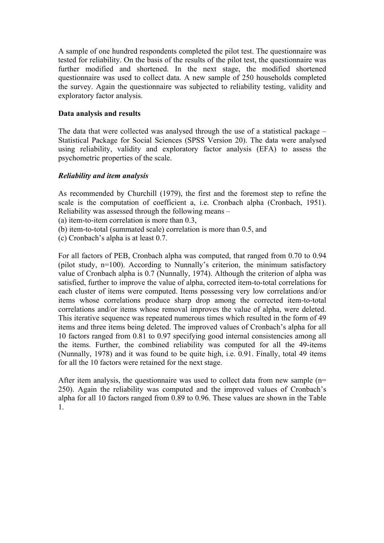A sample of one hundred respondents completed the pilot test. The questionnaire was tested for reliability. On the basis of the results of the pilot test, the questionnaire was further modified and shortened. In the next stage, the modified shortened questionnaire was used to collect data. A new sample of 250 households completed the survey. Again the questionnaire was subjected to reliability testing, validity and exploratory factor analysis.

## **Data analysis and results**

The data that were collected was analysed through the use of a statistical package – Statistical Package for Social Sciences (SPSS Version 20). The data were analysed using reliability, validity and exploratory factor analysis (EFA) to assess the psychometric properties of the scale.

## *Reliability and item analysis*

As recommended by Churchill (1979), the first and the foremost step to refine the scale is the computation of coefficient a, i.e. Cronbach alpha (Cronbach, 1951). Reliability was assessed through the following means –

(a) item-to-item correlation is more than 0.3,

(b) item-to-total (summated scale) correlation is more than 0.5, and

(c) Cronbach's alpha is at least 0.7.

For all factors of PEB, Cronbach alpha was computed, that ranged from 0.70 to 0.94 (pilot study, n=100). According to Nunnally's criterion, the minimum satisfactory value of Cronbach alpha is 0.7 (Nunnally, 1974). Although the criterion of alpha was satisfied, further to improve the value of alpha, corrected item-to-total correlations for each cluster of items were computed. Items possessing very low correlations and/or items whose correlations produce sharp drop among the corrected item-to-total correlations and/or items whose removal improves the value of alpha, were deleted. This iterative sequence was repeated numerous times which resulted in the form of 49 items and three items being deleted. The improved values of Cronbach's alpha for all 10 factors ranged from 0.81 to 0.97 specifying good internal consistencies among all the items. Further, the combined reliability was computed for all the 49-items (Nunnally, 1978) and it was found to be quite high, i.e. 0.91. Finally, total 49 items for all the 10 factors were retained for the next stage.

After item analysis, the questionnaire was used to collect data from new sample (n= 250). Again the reliability was computed and the improved values of Cronbach's alpha for all 10 factors ranged from 0.89 to 0.96. These values are shown in the Table 1.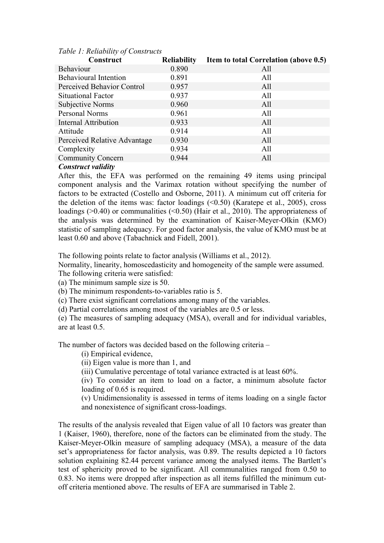| Construct                    | <b>Reliability</b> | Item to total Correlation (above 0.5) |
|------------------------------|--------------------|---------------------------------------|
| <b>Behaviour</b>             | 0.890              | All                                   |
| <b>Behavioural Intention</b> | 0.891              | All                                   |
| Perceived Behavior Control   | 0.957              | All                                   |
| Situational Factor           | 0.937              | All                                   |
| Subjective Norms             | 0.960              | All                                   |
| Personal Norms               | 0.961              | All                                   |
| <b>Internal Attribution</b>  | 0.933              | All                                   |
| Attitude                     | 0.914              | All                                   |
| Perceived Relative Advantage | 0.930              | All                                   |
| Complexity                   | 0.934              | All                                   |
| <b>Community Concern</b>     | 0.944              | All                                   |
| $\tilde{\phantom{a}}$        |                    |                                       |

#### *Table 1: Reliability of Constructs*

# *Construct validity*

After this, the EFA was performed on the remaining 49 items using principal component analysis and the Varimax rotation without specifying the number of factors to be extracted (Costello and Osborne, 2011). A minimum cut off criteria for the deletion of the items was: factor loadings  $(\le 0.50)$  (Karatepe et al., 2005), cross loadings ( $>0.40$ ) or communalities ( $< 0.50$ ) (Hair et al., 2010). The appropriateness of the analysis was determined by the examination of Kaiser-Meyer-Olkin (KMO) statistic of sampling adequacy. For good factor analysis, the value of KMO must be at least 0.60 and above (Tabachnick and Fidell, 2001).

The following points relate to factor analysis (Williams et al., 2012).

Normality, linearity, homoscedasticity and homogeneity of the sample were assumed. The following criteria were satisfied:

(a) The minimum sample size is 50.

(b) The minimum respondents-to-variables ratio is 5.

(c) There exist significant correlations among many of the variables.

(d) Partial correlations among most of the variables are 0.5 or less.

(e) The measures of sampling adequacy (MSA), overall and for individual variables, are at least 0.5.

The number of factors was decided based on the following criteria –

(i) Empirical evidence,

(ii) Eigen value is more than 1, and

(iii) Cumulative percentage of total variance extracted is at least 60%.

(iv) To consider an item to load on a factor, a minimum absolute factor loading of 0.65 is required.

(v) Unidimensionality is assessed in terms of items loading on a single factor and nonexistence of significant cross-loadings.

The results of the analysis revealed that Eigen value of all 10 factors was greater than 1 (Kaiser, 1960), therefore, none of the factors can be eliminated from the study. The Kaiser-Meyer-Olkin measure of sampling adequacy (MSA), a measure of the data set's appropriateness for factor analysis, was 0.89. The results depicted a 10 factors solution explaining 82.44 percent variance among the analysed items. The Bartlett's test of sphericity proved to be significant. All communalities ranged from 0.50 to 0.83. No items were dropped after inspection as all items fulfilled the minimum cutoff criteria mentioned above. The results of EFA are summarised in Table 2.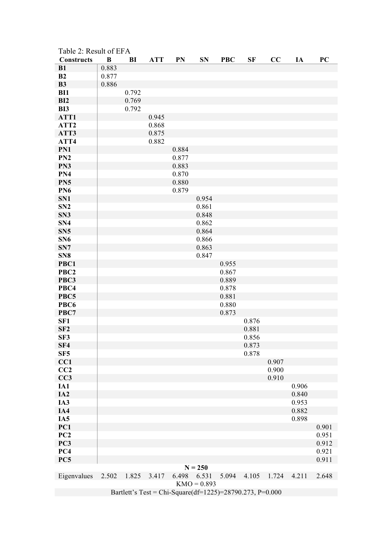| Table 2: Result of EFA<br><b>Constructs</b>              | B     | BI    | <b>ATT</b> | PN             | <b>SN</b>     | <b>PBC</b> | SF             | CC    | IA    | PC    |
|----------------------------------------------------------|-------|-------|------------|----------------|---------------|------------|----------------|-------|-------|-------|
| B1                                                       | 0.883 |       |            |                |               |            |                |       |       |       |
| B2                                                       | 0.877 |       |            |                |               |            |                |       |       |       |
| <b>B3</b>                                                | 0.886 |       |            |                |               |            |                |       |       |       |
| <b>BI1</b>                                               |       | 0.792 |            |                |               |            |                |       |       |       |
| BI2                                                      |       | 0.769 |            |                |               |            |                |       |       |       |
| BI3                                                      |       | 0.792 |            |                |               |            |                |       |       |       |
| ATT1                                                     |       |       | 0.945      |                |               |            |                |       |       |       |
| ATT <sub>2</sub>                                         |       |       | 0.868      |                |               |            |                |       |       |       |
| ATT3                                                     |       |       | 0.875      |                |               |            |                |       |       |       |
| ATT4                                                     |       |       | 0.882      |                |               |            |                |       |       |       |
| PN1<br>PN <sub>2</sub>                                   |       |       |            | 0.884<br>0.877 |               |            |                |       |       |       |
| PN3                                                      |       |       |            | 0.883          |               |            |                |       |       |       |
| PN4                                                      |       |       |            | 0.870          |               |            |                |       |       |       |
| PN <sub>5</sub>                                          |       |       |            | 0.880          |               |            |                |       |       |       |
| PN <sub>6</sub>                                          |       |       |            | 0.879          |               |            |                |       |       |       |
| SN1                                                      |       |       |            |                | 0.954         |            |                |       |       |       |
| SN <sub>2</sub>                                          |       |       |            |                | 0.861         |            |                |       |       |       |
| SN <sub>3</sub>                                          |       |       |            |                | 0.848         |            |                |       |       |       |
| SN <sub>4</sub>                                          |       |       |            |                | 0.862         |            |                |       |       |       |
| SN <sub>5</sub>                                          |       |       |            |                | 0.864         |            |                |       |       |       |
| SN <sub>6</sub>                                          |       |       |            |                | 0.866         |            |                |       |       |       |
| SN7                                                      |       |       |            |                | 0.863         |            |                |       |       |       |
| SN <sub>8</sub>                                          |       |       |            |                | 0.847         |            |                |       |       |       |
| PBC1                                                     |       |       |            |                |               | 0.955      |                |       |       |       |
| PBC <sub>2</sub>                                         |       |       |            |                |               | 0.867      |                |       |       |       |
| PBC3                                                     |       |       |            |                |               | 0.889      |                |       |       |       |
| PBC4                                                     |       |       |            |                |               | 0.878      |                |       |       |       |
| PBC5                                                     |       |       |            |                |               | 0.881      |                |       |       |       |
| PBC <sub>6</sub>                                         |       |       |            |                |               | 0.880      |                |       |       |       |
| PBC7                                                     |       |       |            |                |               | 0.873      |                |       |       |       |
| SF <sub>1</sub>                                          |       |       |            |                |               |            | 0.876          |       |       |       |
| SF <sub>2</sub>                                          |       |       |            |                |               |            | 0.881          |       |       |       |
| SF3<br>SF4                                               |       |       |            |                |               |            | 0.856<br>0.873 |       |       |       |
| SF <sub>5</sub>                                          |       |       |            |                |               |            | 0.878          |       |       |       |
| CC1                                                      |       |       |            |                |               |            |                | 0.907 |       |       |
| CC2                                                      |       |       |            |                |               |            |                | 0.900 |       |       |
| CC3                                                      |       |       |            |                |               |            |                | 0.910 |       |       |
| IA1                                                      |       |       |            |                |               |            |                |       | 0.906 |       |
| IA <sub>2</sub>                                          |       |       |            |                |               |            |                |       | 0.840 |       |
| IA3                                                      |       |       |            |                |               |            |                |       | 0.953 |       |
| IA4                                                      |       |       |            |                |               |            |                |       | 0.882 |       |
| IA <sub>5</sub>                                          |       |       |            |                |               |            |                |       | 0.898 |       |
| PC1                                                      |       |       |            |                |               |            |                |       |       | 0.901 |
| PC2                                                      |       |       |            |                |               |            |                |       |       | 0.951 |
| PC3                                                      |       |       |            |                |               |            |                |       |       | 0.912 |
| PC4                                                      |       |       |            |                |               |            |                |       |       | 0.921 |
| PC5                                                      |       |       |            |                |               |            |                |       |       | 0.911 |
|                                                          |       |       |            |                | $N = 250$     |            |                |       |       |       |
| Eigenvalues                                              | 2.502 | 1.825 | 3.417      | 6.498          | 6.531         | 5.094      | 4.105          | 1.724 | 4.211 | 2.648 |
|                                                          |       |       |            |                | $KMO = 0.893$ |            |                |       |       |       |
| Bartlett's Test = Chi-Square(df=1225)=28790.273, P=0.000 |       |       |            |                |               |            |                |       |       |       |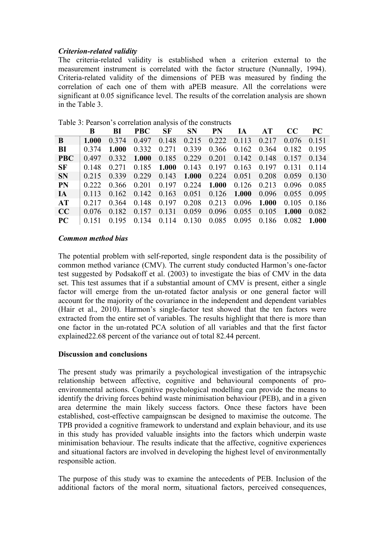# *Criterion-related validity*

The criteria-related validity is established when a criterion external to the measurement instrument is correlated with the factor structure (Nunnally, 1994). Criteria-related validity of the dimensions of PEB was measured by finding the correlation of each one of them with aPEB measure. All the correlations were significant at 0.05 significance level. The results of the correlation analysis are shown in the Table 3.

|            | B       | BI      | <b>PBC</b> | <b>SF</b> | <b>SN</b> | <b>PN</b> | IA    | AT    | CC.   | <b>PC</b> |
|------------|---------|---------|------------|-----------|-----------|-----------|-------|-------|-------|-----------|
| B          | 1.000   | 0.374   | 0.497      | 0.148     | 0.215     | 0.222     | 0.113 | 0.217 | 0.076 | 0.151     |
| BI         | 0 3 7 4 | 1.000   | 0.332      | 0.271     | 0.339     | 0.366     | 0.162 | 0.364 | 0.182 | 0.195     |
| <b>PBC</b> | 0.497   | 0.332   | 1.000      | 0.185     | 0.229     | 0.201     | 0.142 | 0.148 | 0.157 | 0.134     |
| SF         | 0.148   | 0 2 7 1 | 0.185      | 1.000     | 0.143     | 0.197     | 0.163 | 0.197 | 0.131 | 0.114     |
| <b>SN</b>  | 0.215   | 0.339   | 0.229      | 0.143     | 1.000     | 0.224     | 0.051 | 0.208 | 0.059 | 0.130     |
| <b>PN</b>  | 0 2 2 2 | 0.366   | 0 201      | 0.197     | 0.224     | 1.000     | 0.126 | 0.213 | 0.096 | 0.085     |
| IA         | 0.113   | 0.162   | 0.142      | 0.163     | 0.051     | 0.126     | 1.000 | 0.096 | 0.055 | 0.095     |
| AT         | 0.217   | 0.364   | 0.148      | 0.197     | 0.208     | 0.213     | 0.096 | 1.000 | 0.105 | 0.186     |
| CC         | 0.076   | 0.182   | 0.157      | 0.131     | 0.059     | 0.096     | 0.055 | 0.105 | 1.000 | 0.082     |
| PC         |         | 0.195   | 0.134      | 0.114     | 0.130     | 0.085     | 0.095 | 0.186 | 0.082 | 1.000     |

Table 3: Pearson's correlation analysis of the constructs

#### *Common method bias*

The potential problem with self-reported, single respondent data is the possibility of common method variance (CMV). The current study conducted Harmon's one-factor test suggested by Podsakoff et al. (2003) to investigate the bias of CMV in the data set. This test assumes that if a substantial amount of CMV is present, either a single factor will emerge from the un-rotated factor analysis or one general factor will account for the majority of the covariance in the independent and dependent variables (Hair et al., 2010). Harmon's single-factor test showed that the ten factors were extracted from the entire set of variables. The results highlight that there is more than one factor in the un-rotated PCA solution of all variables and that the first factor explained22.68 percent of the variance out of total 82.44 percent.

#### **Discussion and conclusions**

The present study was primarily a psychological investigation of the intrapsychic relationship between affective, cognitive and behavioural components of proenvironmental actions. Cognitive psychological modelling can provide the means to identify the driving forces behind waste minimisation behaviour (PEB), and in a given area determine the main likely success factors. Once these factors have been established, cost-effective campaignscan be designed to maximise the outcome. The TPB provided a cognitive framework to understand and explain behaviour, and its use in this study has provided valuable insights into the factors which underpin waste minimisation behaviour. The results indicate that the affective, cognitive experiences and situational factors are involved in developing the highest level of environmentally responsible action.

The purpose of this study was to examine the antecedents of PEB. Inclusion of the additional factors of the moral norm, situational factors, perceived consequences,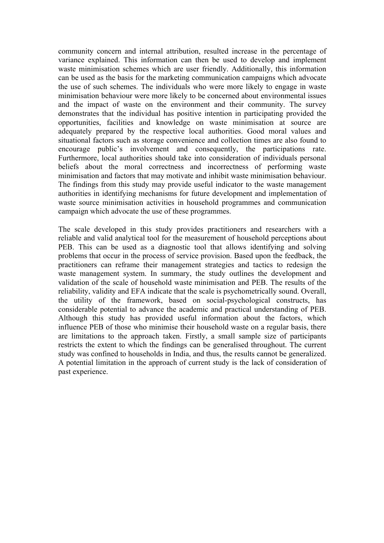community concern and internal attribution, resulted increase in the percentage of variance explained. This information can then be used to develop and implement waste minimisation schemes which are user friendly. Additionally, this information can be used as the basis for the marketing communication campaigns which advocate the use of such schemes. The individuals who were more likely to engage in waste minimisation behaviour were more likely to be concerned about environmental issues and the impact of waste on the environment and their community. The survey demonstrates that the individual has positive intention in participating provided the opportunities, facilities and knowledge on waste minimisation at source are adequately prepared by the respective local authorities. Good moral values and situational factors such as storage convenience and collection times are also found to encourage public's involvement and consequently, the participations rate. Furthermore, local authorities should take into consideration of individuals personal beliefs about the moral correctness and incorrectness of performing waste minimisation and factors that may motivate and inhibit waste minimisation behaviour. The findings from this study may provide useful indicator to the waste management authorities in identifying mechanisms for future development and implementation of waste source minimisation activities in household programmes and communication campaign which advocate the use of these programmes.

The scale developed in this study provides practitioners and researchers with a reliable and valid analytical tool for the measurement of household perceptions about PEB. This can be used as a diagnostic tool that allows identifying and solving problems that occur in the process of service provision. Based upon the feedback, the practitioners can reframe their management strategies and tactics to redesign the waste management system. In summary, the study outlines the development and validation of the scale of household waste minimisation and PEB. The results of the reliability, validity and EFA indicate that the scale is psychometrically sound. Overall, the utility of the framework, based on social-psychological constructs, has considerable potential to advance the academic and practical understanding of PEB. Although this study has provided useful information about the factors, which influence PEB of those who minimise their household waste on a regular basis, there are limitations to the approach taken. Firstly, a small sample size of participants restricts the extent to which the findings can be generalised throughout. The current study was confined to households in India, and thus, the results cannot be generalized. A potential limitation in the approach of current study is the lack of consideration of past experience.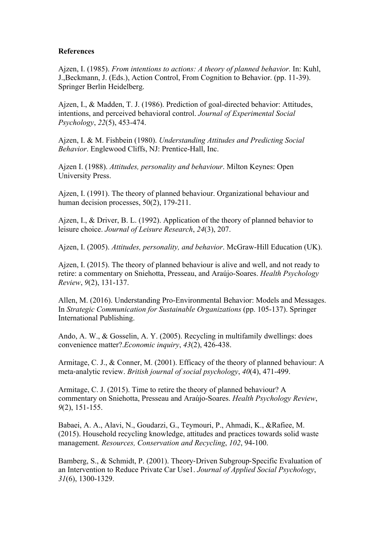#### **References**

Ajzen, I. (1985). *From intentions to actions: A theory of planned behavior.* In: Kuhl, J.,Beckmann, J. (Eds.), Action Control, From Cognition to Behavior. (pp. 11-39). Springer Berlin Heidelberg.

Ajzen, I., & Madden, T. J. (1986). Prediction of goal-directed behavior: Attitudes, intentions, and perceived behavioral control. *Journal of Experimental Social Psychology*, *22*(5), 453-474.

Ajzen, I. & M. Fishbein (1980). *Understanding Attitudes and Predicting Social Behavior*. Englewood Cliffs, NJ: Prentice-Hall, Inc.

Ajzen I. (1988). *Attitudes, personality and behaviour*. Milton Keynes: Open University Press.

Ajzen, I. (1991). The theory of planned behaviour. Organizational behaviour and human decision processes, 50(2), 179-211.

Ajzen, I., & Driver, B. L. (1992). Application of the theory of planned behavior to leisure choice. *Journal of Leisure Research*, *24*(3), 207.

Ajzen, I. (2005). *Attitudes, personality, and behavior*. McGraw-Hill Education (UK).

Ajzen, I. (2015). The theory of planned behaviour is alive and well, and not ready to retire: a commentary on Sniehotta, Presseau, and Araújo-Soares. *Health Psychology Review*, *9*(2), 131-137.

Allen, M. (2016). Understanding Pro-Environmental Behavior: Models and Messages. In *Strategic Communication for Sustainable Organizations* (pp. 105-137). Springer International Publishing.

Ando, A. W., & Gosselin, A. Y. (2005). Recycling in multifamily dwellings: does convenience matter?.*Economic inquiry*, *43*(2), 426-438.

Armitage, C. J., & Conner, M. (2001). Efficacy of the theory of planned behaviour: A meta-analytic review. *British journal of social psychology*, *40*(4), 471-499.

Armitage, C. J. (2015). Time to retire the theory of planned behaviour? A commentary on Sniehotta, Presseau and Araújo-Soares. *Health Psychology Review*, *9*(2), 151-155.

Babaei, A. A., Alavi, N., Goudarzi, G., Teymouri, P., Ahmadi, K., &Rafiee, M. (2015). Household recycling knowledge, attitudes and practices towards solid waste management. *Resources, Conservation and Recycling*, *102*, 94-100.

Bamberg, S., & Schmidt, P. (2001). Theory-Driven Subgroup-Specific Evaluation of an Intervention to Reduce Private Car Use1. *Journal of Applied Social Psychology*, *31*(6), 1300-1329.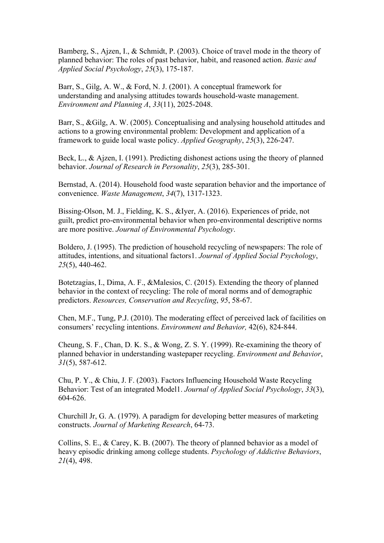Bamberg, S., Ajzen, I., & Schmidt, P. (2003). Choice of travel mode in the theory of planned behavior: The roles of past behavior, habit, and reasoned action. *Basic and Applied Social Psychology*, *25*(3), 175-187.

Barr, S., Gilg, A. W., & Ford, N. J. (2001). A conceptual framework for understanding and analysing attitudes towards household-waste management. *Environment and Planning A*, *33*(11), 2025-2048.

Barr, S., &Gilg, A. W. (2005). Conceptualising and analysing household attitudes and actions to a growing environmental problem: Development and application of a framework to guide local waste policy. *Applied Geography*, *25*(3), 226-247.

Beck, L., & Ajzen, I. (1991). Predicting dishonest actions using the theory of planned behavior. *Journal of Research in Personality*, *25*(3), 285-301.

Bernstad, A. (2014). Household food waste separation behavior and the importance of convenience. *Waste Management*, *34*(7), 1317-1323.

Bissing-Olson, M. J., Fielding, K. S., &Iyer, A. (2016). Experiences of pride, not guilt, predict pro-environmental behavior when pro-environmental descriptive norms are more positive. *Journal of Environmental Psychology*.

Boldero, J. (1995). The prediction of household recycling of newspapers: The role of attitudes, intentions, and situational factors1. *Journal of Applied Social Psychology*, *25*(5), 440-462.

Botetzagias, I., Dima, A. F., &Malesios, C. (2015). Extending the theory of planned behavior in the context of recycling: The role of moral norms and of demographic predictors. *Resources, Conservation and Recycling*, *95*, 58-67.

Chen, M.F., Tung, P.J. (2010). The moderating effect of perceived lack of facilities on consumers' recycling intentions. *Environment and Behavior,* 42(6), 824-844.

Cheung, S. F., Chan, D. K. S., & Wong, Z. S. Y. (1999). Re-examining the theory of planned behavior in understanding wastepaper recycling. *Environment and Behavior*, *31*(5), 587-612.

Chu, P. Y., & Chiu, J. F. (2003). Factors Influencing Household Waste Recycling Behavior: Test of an integrated Model1. *Journal of Applied Social Psychology*, *33*(3), 604-626.

Churchill Jr, G. A. (1979). A paradigm for developing better measures of marketing constructs. *Journal of Marketing Research*, 64-73.

Collins, S. E., & Carey, K. B. (2007). The theory of planned behavior as a model of heavy episodic drinking among college students. *Psychology of Addictive Behaviors*, *21*(4), 498.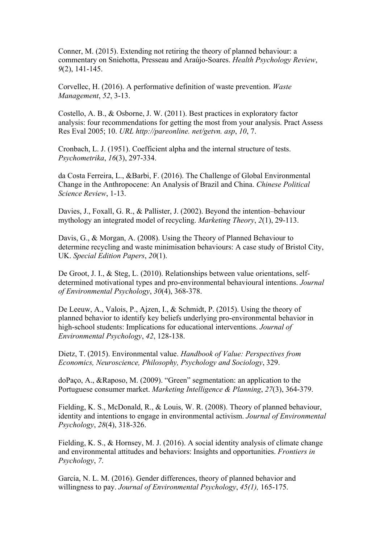Conner, M. (2015). Extending not retiring the theory of planned behaviour: a commentary on Sniehotta, Presseau and Araújo-Soares. *Health Psychology Review*, *9*(2), 141-145.

Corvellec, H. (2016). A performative definition of waste prevention. *Waste Management*, *52*, 3-13.

Costello, A. B., & Osborne, J. W. (2011). Best practices in exploratory factor analysis: four recommendations for getting the most from your analysis. Pract Assess Res Eval 2005; 10. *URL http://pareonline. net/getvn. asp*, *10*, 7.

Cronbach, L. J. (1951). Coefficient alpha and the internal structure of tests. *Psychometrika*, *16*(3), 297-334.

da Costa Ferreira, L., &Barbi, F. (2016). The Challenge of Global Environmental Change in the Anthropocene: An Analysis of Brazil and China. *Chinese Political Science Review*, 1-13.

Davies, J., Foxall, G. R., & Pallister, J. (2002). Beyond the intention–behaviour mythology an integrated model of recycling. *Marketing Theory*, *2*(1), 29-113.

Davis, G., & Morgan, A. (2008). Using the Theory of Planned Behaviour to determine recycling and waste minimisation behaviours: A case study of Bristol City, UK. *Special Edition Papers*, *20*(1).

De Groot, J. I., & Steg, L. (2010). Relationships between value orientations, selfdetermined motivational types and pro-environmental behavioural intentions. *Journal of Environmental Psychology*, *30*(4), 368-378.

De Leeuw, A., Valois, P., Ajzen, I., & Schmidt, P. (2015). Using the theory of planned behavior to identify key beliefs underlying pro-environmental behavior in high-school students: Implications for educational interventions. *Journal of Environmental Psychology*, *42*, 128-138.

Dietz, T. (2015). Environmental value. *Handbook of Value: Perspectives from Economics, Neuroscience, Philosophy, Psychology and Sociology*, 329.

doPaço, A., &Raposo, M. (2009). "Green" segmentation: an application to the Portuguese consumer market. *Marketing Intelligence & Planning*, *27*(3), 364-379.

Fielding, K. S., McDonald, R., & Louis, W. R. (2008). Theory of planned behaviour, identity and intentions to engage in environmental activism. *Journal of Environmental Psychology*, *28*(4), 318-326.

Fielding, K. S., & Hornsey, M. J. (2016). A social identity analysis of climate change and environmental attitudes and behaviors: Insights and opportunities. *Frontiers in Psychology*, *7*.

García, N. L. M. (2016). Gender differences, theory of planned behavior and willingness to pay. *Journal of Environmental Psychology*, *45(1),* 165-175.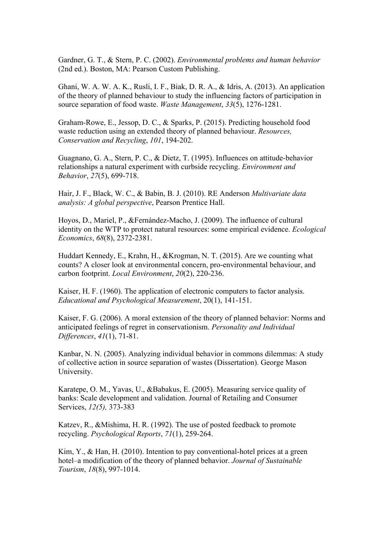Gardner, G. T., & Stern, P. C. (2002). *Environmental problems and human behavior* (2nd ed.). Boston, MA: Pearson Custom Publishing.

Ghani, W. A. W. A. K., Rusli, I. F., Biak, D. R. A., & Idris, A. (2013). An application of the theory of planned behaviour to study the influencing factors of participation in source separation of food waste. *Waste Management*, *33*(5), 1276-1281.

Graham-Rowe, E., Jessop, D. C., & Sparks, P. (2015). Predicting household food waste reduction using an extended theory of planned behaviour. *Resources, Conservation and Recycling*, *101*, 194-202.

Guagnano, G. A., Stern, P. C., & Dietz, T. (1995). Influences on attitude-behavior relationships a natural experiment with curbside recycling. *Environment and Behavior*, *27*(5), 699-718.

Hair, J. F., Black, W. C., & Babin, B. J. (2010). RE Anderson *Multivariate data analysis: A global perspective*, Pearson Prentice Hall.

Hoyos, D., Mariel, P., &Fernández-Macho, J. (2009). The influence of cultural identity on the WTP to protect natural resources: some empirical evidence. *Ecological Economics*, *68*(8), 2372-2381.

Huddart Kennedy, E., Krahn, H., &Krogman, N. T. (2015). Are we counting what counts? A closer look at environmental concern, pro-environmental behaviour, and carbon footprint. *Local Environment*, *20*(2), 220-236.

Kaiser, H. F. (1960). The application of electronic computers to factor analysis. *Educational and Psychological Measurement*, 20(1), 141-151.

Kaiser, F. G. (2006). A moral extension of the theory of planned behavior: Norms and anticipated feelings of regret in conservationism. *Personality and Individual Differences*, *41*(1), 71-81.

Kanbar, N. N. (2005). Analyzing individual behavior in commons dilemmas: A study of collective action in source separation of wastes (Dissertation). George Mason University.

Karatepe, O. M., Yavas, U., &Babakus, E. (2005). Measuring service quality of banks: Scale development and validation. Journal of Retailing and Consumer Services, *12(5),* 373-383

Katzev, R., &Mishima, H. R. (1992). The use of posted feedback to promote recycling. *Psychological Reports*, *71*(1), 259-264.

Kim, Y., & Han, H. (2010). Intention to pay conventional-hotel prices at a green hotel–a modification of the theory of planned behavior. *Journal of Sustainable Tourism*, *18*(8), 997-1014.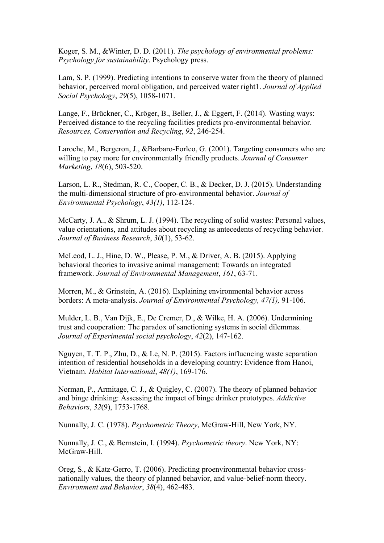Koger, S. M., &Winter, D. D. (2011). *The psychology of environmental problems: Psychology for sustainability*. Psychology press.

Lam, S. P. (1999). Predicting intentions to conserve water from the theory of planned behavior, perceived moral obligation, and perceived water right1. *Journal of Applied Social Psychology*, *29*(5), 1058-1071.

Lange, F., Brückner, C., Kröger, B., Beller, J., & Eggert, F. (2014). Wasting ways: Perceived distance to the recycling facilities predicts pro-environmental behavior. *Resources, Conservation and Recycling*, *92*, 246-254.

Laroche, M., Bergeron, J., &Barbaro-Forleo, G. (2001). Targeting consumers who are willing to pay more for environmentally friendly products. *Journal of Consumer Marketing*, *18*(6), 503-520.

Larson, L. R., Stedman, R. C., Cooper, C. B., & Decker, D. J. (2015). Understanding the multi-dimensional structure of pro-environmental behavior. *Journal of Environmental Psychology*, *43(1)*, 112-124.

McCarty, J. A., & Shrum, L. J. (1994). The recycling of solid wastes: Personal values, value orientations, and attitudes about recycling as antecedents of recycling behavior. *Journal of Business Research*, *30*(1), 53-62.

McLeod, L. J., Hine, D. W., Please, P. M., & Driver, A. B. (2015). Applying behavioral theories to invasive animal management: Towards an integrated framework. *Journal of Environmental Management*, *161*, 63-71.

Morren, M., & Grinstein, A. (2016). Explaining environmental behavior across borders: A meta-analysis. *Journal of Environmental Psychology, 47(1),* 91-106.

Mulder, L. B., Van Dijk, E., De Cremer, D., & Wilke, H. A. (2006). Undermining trust and cooperation: The paradox of sanctioning systems in social dilemmas. *Journal of Experimental social psychology*, *42*(2), 147-162.

Nguyen, T. T. P., Zhu, D., & Le, N. P. (2015). Factors influencing waste separation intention of residential households in a developing country: Evidence from Hanoi, Vietnam. *Habitat International*, *48(1)*, 169-176.

Norman, P., Armitage, C. J., & Quigley, C. (2007). The theory of planned behavior and binge drinking: Assessing the impact of binge drinker prototypes. *Addictive Behaviors*, *32*(9), 1753-1768.

Nunnally, J. C. (1978). *Psychometric Theory*, McGraw-Hill, New York, NY.

Nunnally, J. C., & Bernstein, I. (1994). *Psychometric theory*. New York, NY: McGraw-Hill.

Oreg, S., & Katz-Gerro, T. (2006). Predicting proenvironmental behavior crossnationally values, the theory of planned behavior, and value-belief-norm theory. *Environment and Behavior*, *38*(4), 462-483.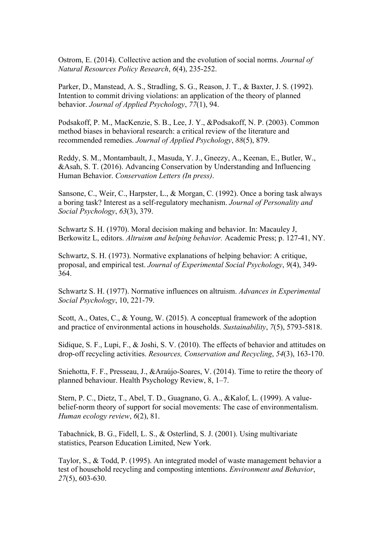Ostrom, E. (2014). Collective action and the evolution of social norms. *Journal of Natural Resources Policy Research*, *6*(4), 235-252.

Parker, D., Manstead, A. S., Stradling, S. G., Reason, J. T., & Baxter, J. S. (1992). Intention to commit driving violations: an application of the theory of planned behavior. *Journal of Applied Psychology*, *77*(1), 94.

Podsakoff, P. M., MacKenzie, S. B., Lee, J. Y., &Podsakoff, N. P. (2003). Common method biases in behavioral research: a critical review of the literature and recommended remedies. *Journal of Applied Psychology*, *88*(5), 879.

Reddy, S. M., Montambault, J., Masuda, Y. J., Gneezy, A., Keenan, E., Butler, W., &Asah, S. T. (2016). Advancing Conservation by Understanding and Influencing Human Behavior. *Conservation Letters (In press)*.

Sansone, C., Weir, C., Harpster, L., & Morgan, C. (1992). Once a boring task always a boring task? Interest as a self-regulatory mechanism. *Journal of Personality and Social Psychology*, *63*(3), 379.

Schwartz S. H. (1970). Moral decision making and behavior. In: Macauley J, Berkowitz L, editors. *Altruism and helping behavior.* Academic Press; p. 127-41, NY.

Schwartz, S. H. (1973). Normative explanations of helping behavior: A critique, proposal, and empirical test. *Journal of Experimental Social Psychology*, *9*(4), 349- 364.

Schwartz S. H. (1977). Normative influences on altruism. *Advances in Experimental Social Psychology*, 10, 221-79.

Scott, A., Oates, C., & Young, W. (2015). A conceptual framework of the adoption and practice of environmental actions in households. *Sustainability*, *7*(5), 5793-5818.

Sidique, S. F., Lupi, F., & Joshi, S. V. (2010). The effects of behavior and attitudes on drop-off recycling activities. *Resources, Conservation and Recycling*, *54*(3), 163-170.

Sniehotta, F. F., Presseau, J., &Araújo-Soares, V. (2014). Time to retire the theory of planned behaviour. Health Psychology Review, 8, 1–7.

Stern, P. C., Dietz, T., Abel, T. D., Guagnano, G. A., &Kalof, L. (1999). A valuebelief-norm theory of support for social movements: The case of environmentalism. *Human ecology review*, *6*(2), 81.

Tabachnick, B. G., Fidell, L. S., & Osterlind, S. J. (2001). Using multivariate statistics, Pearson Education Limited, New York.

Taylor, S., & Todd, P. (1995). An integrated model of waste management behavior a test of household recycling and composting intentions. *Environment and Behavior*, *27*(5), 603-630.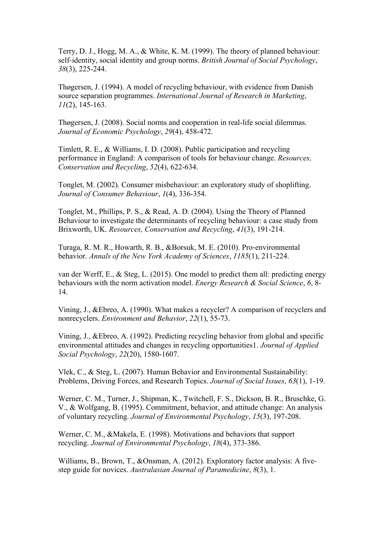Terry, D. J., Hogg, M. A., & White, K. M. (1999). The theory of planned behaviour: self-identity, social identity and group norms. *British Journal of Social Psychology*, *38*(3), 225-244.

Thøgersen, J. (1994). A model of recycling behaviour, with evidence from Danish source separation programmes. *International Journal of Research in Marketing*, *11*(2), 145-163.

Thøgersen, J. (2008). Social norms and cooperation in real-life social dilemmas. *Journal of Economic Psychology*, *29*(4), 458-472.

Timlett, R. E., & Williams, I. D. (2008). Public participation and recycling performance in England: A comparison of tools for behaviour change. *Resources, Conservation and Recycling*, *52*(4), 622-634.

Tonglet, M. (2002). Consumer misbehaviour: an exploratory study of shoplifting. *Journal of Consumer Behaviour*, *1*(4), 336-354.

Tonglet, M., Phillips, P. S., & Read, A. D. (2004). Using the Theory of Planned Behaviour to investigate the determinants of recycling behaviour: a case study from Brixworth, UK. *Resources, Conservation and Recycling*, *41*(3), 191-214.

Turaga, R. M. R., Howarth, R. B., &Borsuk, M. E. (2010). Pro-environmental behavior. *Annals of the New York Academy of Sciences*, *1185*(1), 211-224.

van der Werff, E., & Steg, L. (2015). One model to predict them all: predicting energy behaviours with the norm activation model. *Energy Research & Social Science*, *6*, 8- 14.

Vining, J., &Ebreo, A. (1990). What makes a recycler? A comparison of recyclers and nonrecyclers. *Environment and Behavior*, *22*(1), 55-73.

Vining, J., &Ebreo, A. (1992). Predicting recycling behavior from global and specific environmental attitudes and changes in recycling opportunities1. *Journal of Applied Social Psychology*, *22*(20), 1580-1607.

Vlek, C., & Steg, L. (2007). Human Behavior and Environmental Sustainability: Problems, Driving Forces, and Research Topics. *Journal of Social Issues*, *63*(1), 1-19.

Werner, C. M., Turner, J., Shipman, K., Twitchell, F. S., Dickson, B. R., Bruschke, G. V., & Wolfgang, B. (1995). Commitment, behavior, and attitude change: An analysis of voluntary recycling. *Journal of Environmental Psychology*, *15*(3), 197-208.

Werner, C. M., &Makela, E. (1998). Motivations and behaviors that support recycling. *Journal of Environmental Psychology*, *18*(4), 373-386.

Williams, B., Brown, T., &Onsman, A. (2012). Exploratory factor analysis: A fivestep guide for novices. *Australasian Journal of Paramedicine*, *8*(3), 1.